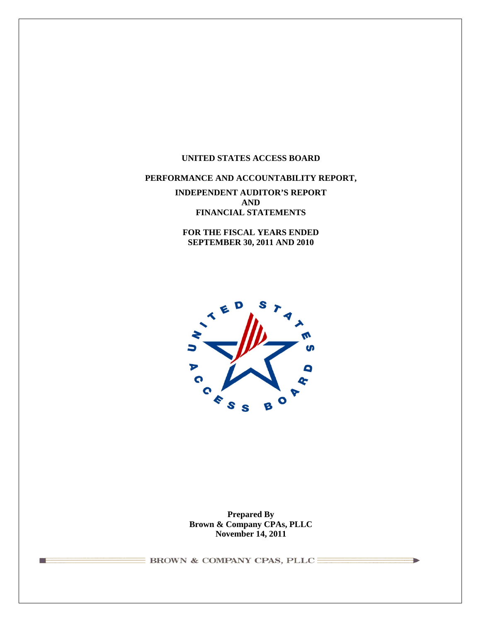#### **UNITED STATES ACCESS BOARD**

# **PERFORMANCE AND ACCOUNTABILITY REPORT,**

**INDEPENDENT AUDITOR'S REPORT AND FINANCIAL STATEMENTS**

**FOR THE FISCAL YEARS ENDED SEPTEMBER 30, 2011 AND 2010**



**Prepared By Brown & Company CPAs, PLLC November 14, 2011**

 $\equiv$  BROWN & COMPANY CPAS, PLLC $\equiv$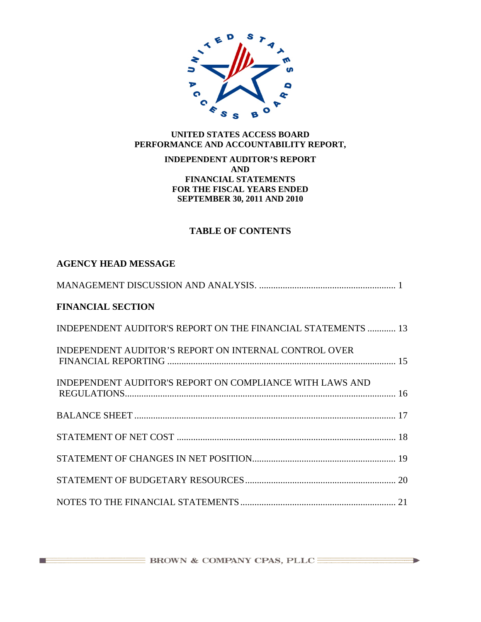

# **UNITED STATES ACCESS BOARD PERFORMANCE AND ACCOUNTABILITY REPORT,**

### **INDEPENDENT AUDITOR'S REPORT AND FINANCIAL STATEMENTS FOR THE FISCAL YEARS ENDED SEPTEMBER 30, 2011 AND 2010**

# **TABLE OF CONTENTS**

# **AGENCY HEAD MESSAGE**

<u> a strong programme to the strong programme of the strong programme of the strong programme of the strong programme of the strong programme of the strong programme of the strong programme of the strong programme of the st</u>

| <b>FINANCIAL SECTION</b>                                     |
|--------------------------------------------------------------|
| INDEPENDENT AUDITOR'S REPORT ON THE FINANCIAL STATEMENTS  13 |
| INDEPENDENT AUDITOR'S REPORT ON INTERNAL CONTROL OVER        |
| INDEPENDENT AUDITOR'S REPORT ON COMPLIANCE WITH LAWS AND     |
|                                                              |
|                                                              |
|                                                              |
|                                                              |
|                                                              |

 $\overline{\phantom{a}}$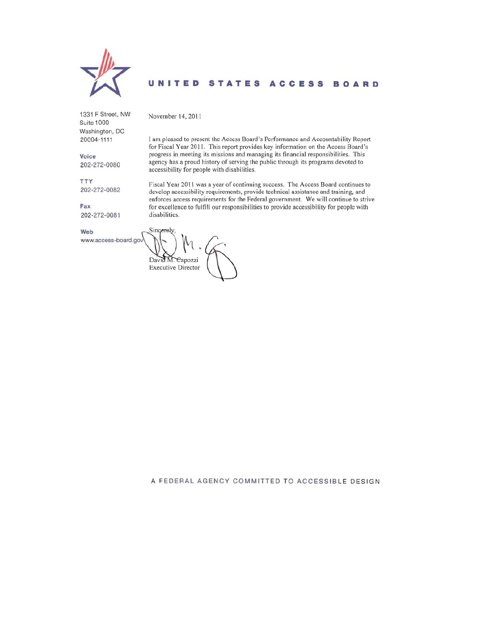

#### STATES ACCESS BOARD U NITED

1331 F Street, NW Suite 1000 Washington, DC 20004-1111

Voice 202-272-0080

202-272-0082

202-272-0081

www.access-board.gov

I am pleased to present the Access Board's Performance and Accountability Report for Fiscal Year 2011. This report provides key information on the Access Board's progress in meeting its missions and managing its financial responsibilities. This agency has a proud history of serving the public through its programs devoted to accessibility for people with disabilities.

Fiscal Year 2011 was a year of continuing success. The Access Board continues to develop accessibility requirements, provide technical assistance and training, and enforces access requirements for the Federal government. We will continue to strive for excellence to fulfill our responsibilities to provide accessibility for people with disabilities.

Web

**TTY** 

Fax

Sincerely, David M. Capozzi **Executive Director** 

November 14, 2011

A FEDERAL AGENCY COMMITTED TO ACCESSIBLE DESIGN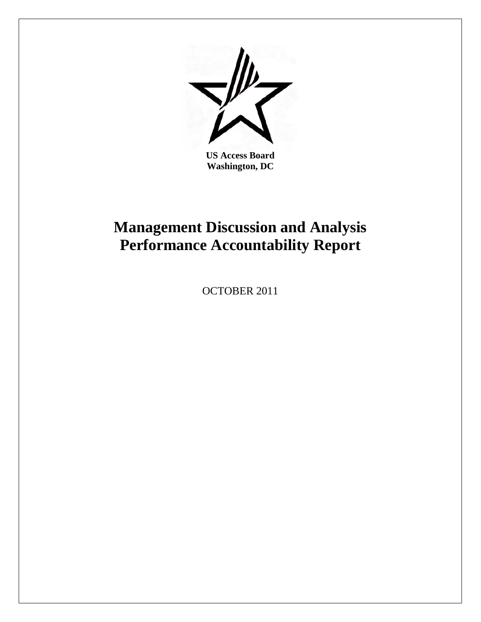

**US Access Board Washington, DC** 

# **Management Discussion and Analysis Performance Accountability Report**

OCTOBER 2011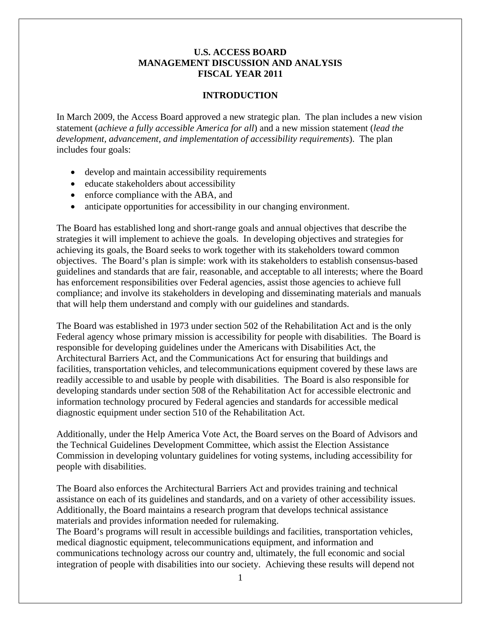# **U.S. ACCESS BOARD MANAGEMENT DISCUSSION AND ANALYSIS FISCAL YEAR 2011**

# **INTRODUCTION**

<span id="page-4-0"></span>In March 2009, the Access Board approved a new strategic plan. The plan includes a new vision statement (*achieve a fully accessible America for all*) and a new mission statement (*lead the development, advancement, and implementation of accessibility requirements*). The plan includes four goals:

- develop and maintain accessibility requirements
- educate stakeholders about accessibility
- enforce compliance with the ABA, and
- anticipate opportunities for accessibility in our changing environment.

The Board has established long and short-range goals and annual objectives that describe the strategies it will implement to achieve the goals. In developing objectives and strategies for achieving its goals, the Board seeks to work together with its stakeholders toward common objectives. The Board's plan is simple: work with its stakeholders to establish consensus-based guidelines and standards that are fair, reasonable, and acceptable to all interests; where the Board has enforcement responsibilities over Federal agencies, assist those agencies to achieve full compliance; and involve its stakeholders in developing and disseminating materials and manuals that will help them understand and comply with our guidelines and standards.

The Board was established in 1973 under section 502 of the Rehabilitation Act and is the only Federal agency whose primary mission is accessibility for people with disabilities. The Board is responsible for developing guidelines under the Americans with Disabilities Act, the Architectural Barriers Act, and the Communications Act for ensuring that buildings and facilities, transportation vehicles, and telecommunications equipment covered by these laws are readily accessible to and usable by people with disabilities. The Board is also responsible for developing standards under section 508 of the Rehabilitation Act for accessible electronic and information technology procured by Federal agencies and standards for accessible medical diagnostic equipment under section 510 of the Rehabilitation Act.

Additionally, under the Help America Vote Act, the Board serves on the Board of Advisors and the Technical Guidelines Development Committee, which assist the Election Assistance Commission in developing voluntary guidelines for voting systems, including accessibility for people with disabilities.

The Board also enforces the Architectural Barriers Act and provides training and technical assistance on each of its guidelines and standards, and on a variety of other accessibility issues. Additionally, the Board maintains a research program that develops technical assistance materials and provides information needed for rulemaking.

The Board's programs will result in accessible buildings and facilities, transportation vehicles, medical diagnostic equipment, telecommunications equipment, and information and communications technology across our country and, ultimately, the full economic and social integration of people with disabilities into our society. Achieving these results will depend not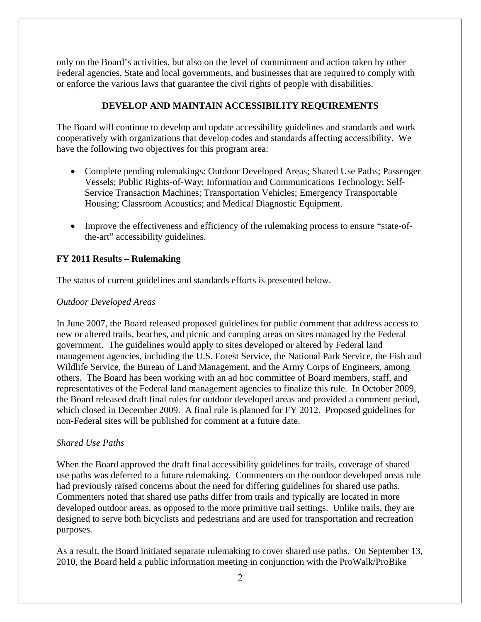only on the Board's activities, but also on the level of commitment and action taken by other Federal agencies, State and local governments, and businesses that are required to comply with or enforce the various laws that guarantee the civil rights of people with disabilities.

# **DEVELOP AND MAINTAIN ACCESSIBILITY REQUIREMENTS**

The Board will continue to develop and update accessibility guidelines and standards and work cooperatively with organizations that develop codes and standards affecting accessibility. We have the following two objectives for this program area:

- Complete pending rulemakings: Outdoor Developed Areas; Shared Use Paths; Passenger Vessels; Public Rights-of-Way; Information and Communications Technology; Self-Service Transaction Machines; Transportation Vehicles; Emergency Transportable Housing; Classroom Acoustics; and Medical Diagnostic Equipment.
- Improve the effectiveness and efficiency of the rulemaking process to ensure "state-ofthe-art" accessibility guidelines.

# **FY 2011 Results – Rulemaking**

The status of current guidelines and standards efforts is presented below.

# *Outdoor Developed Areas*

In June 2007, the Board released proposed guidelines for public comment that address access to new or altered trails, beaches, and picnic and camping areas on sites managed by the Federal government. The guidelines would apply to sites developed or altered by Federal land management agencies, including the U.S. Forest Service, the National Park Service, the Fish and Wildlife Service, the Bureau of Land Management, and the Army Corps of Engineers, among others. The Board has been working with an ad hoc committee of Board members, staff, and representatives of the Federal land management agencies to finalize this rule. In October 2009, the Board released draft final rules for outdoor developed areas and provided a comment period, which closed in December 2009. A final rule is planned for FY 2012. Proposed guidelines for non-Federal sites will be published for comment at a future date.

# *Shared Use Paths*

When the Board approved the draft final accessibility guidelines for trails, coverage of shared use paths was deferred to a future rulemaking. Commenters on the outdoor developed areas rule had previously raised concerns about the need for differing guidelines for shared use paths. Commenters noted that shared use paths differ from trails and typically are located in more developed outdoor areas, as opposed to the more primitive trail settings. Unlike trails, they are designed to serve both bicyclists and pedestrians and are used for transportation and recreation purposes.

As a result, the Board initiated separate rulemaking to cover shared use paths. On September 13, 2010, the Board held a public information meeting in conjunction with the ProWalk/ProBike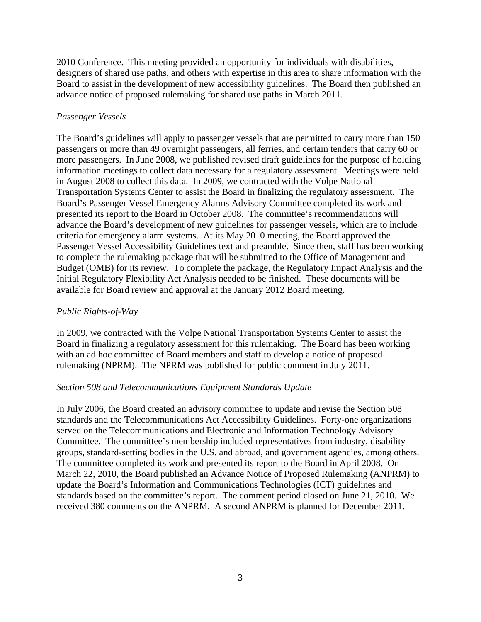2010 Conference. This meeting provided an opportunity for individuals with disabilities, designers of shared use paths, and others with expertise in this area to share information with the Board to assist in the development of new accessibility guidelines. The Board then published an advance notice of proposed rulemaking for shared use paths in March 2011.

# *Passenger Vessels*

The Board's guidelines will apply to passenger vessels that are permitted to carry more than 150 passengers or more than 49 overnight passengers, all ferries, and certain tenders that carry 60 or more passengers. In June 2008, we published revised draft guidelines for the purpose of holding information meetings to collect data necessary for a regulatory assessment. Meetings were held in August 2008 to collect this data. In 2009, we contracted with the Volpe National Transportation Systems Center to assist the Board in finalizing the regulatory assessment. The Board's Passenger Vessel Emergency Alarms Advisory Committee completed its work and presented its report to the Board in October 2008. The committee's recommendations will advance the Board's development of new guidelines for passenger vessels, which are to include criteria for emergency alarm systems. At its May 2010 meeting, the Board approved the Passenger Vessel Accessibility Guidelines text and preamble. Since then, staff has been working to complete the rulemaking package that will be submitted to the Office of Management and Budget (OMB) for its review. To complete the package, the Regulatory Impact Analysis and the Initial Regulatory Flexibility Act Analysis needed to be finished. These documents will be available for Board review and approval at the January 2012 Board meeting.

# *Public Rights-of-Way*

In 2009, we contracted with the Volpe National Transportation Systems Center to assist the Board in finalizing a regulatory assessment for this rulemaking. The Board has been working with an ad hoc committee of Board members and staff to develop a notice of proposed rulemaking (NPRM). The NPRM was published for public comment in July 2011.

# *Section 508 and Telecommunications Equipment Standards Update*

In July 2006, the Board created an advisory committee to update and revise the Section 508 standards and the Telecommunications Act Accessibility Guidelines. Forty-one organizations served on the Telecommunications and Electronic and Information Technology Advisory Committee. The committee's membership included representatives from industry, disability groups, standard-setting bodies in the U.S. and abroad, and government agencies, among others. The committee completed its work and presented its report to the Board in April 2008. On March 22, 2010, the Board published an Advance Notice of Proposed Rulemaking (ANPRM) to update the Board's Information and Communications Technologies (ICT) guidelines and standards based on the committee's report. The comment period closed on June 21, 2010. We received 380 comments on the ANPRM. A second ANPRM is planned for December 2011.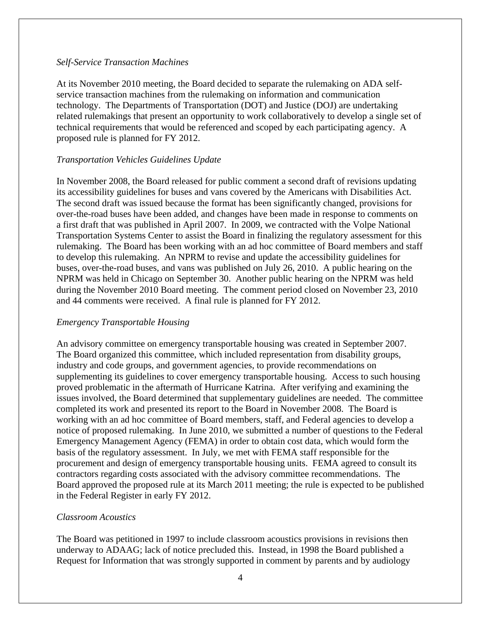#### *Self-Service Transaction Machines*

At its November 2010 meeting, the Board decided to separate the rulemaking on ADA selfservice transaction machines from the rulemaking on information and communication technology. The Departments of Transportation (DOT) and Justice (DOJ) are undertaking related rulemakings that present an opportunity to work collaboratively to develop a single set of technical requirements that would be referenced and scoped by each participating agency. A proposed rule is planned for FY 2012.

#### *Transportation Vehicles Guidelines Update*

In November 2008, the Board released for public comment a second draft of revisions updating its accessibility guidelines for buses and vans covered by the Americans with Disabilities Act. The second draft was issued because the format has been significantly changed, provisions for over-the-road buses have been added, and changes have been made in response to comments on a first draft that was published in April 2007. In 2009, we contracted with the Volpe National Transportation Systems Center to assist the Board in finalizing the regulatory assessment for this rulemaking. The Board has been working with an ad hoc committee of Board members and staff to develop this rulemaking. An NPRM to revise and update the accessibility guidelines for buses, over-the-road buses, and vans was published on July 26, 2010. A public hearing on the NPRM was held in Chicago on September 30. Another public hearing on the NPRM was held during the November 2010 Board meeting. The comment period closed on November 23, 2010 and 44 comments were received. A final rule is planned for FY 2012.

#### *Emergency Transportable Housing*

An advisory committee on emergency transportable housing was created in September 2007. The Board organized this committee, which included representation from disability groups, industry and code groups, and government agencies, to provide recommendations on supplementing its guidelines to cover emergency transportable housing. Access to such housing proved problematic in the aftermath of Hurricane Katrina. After verifying and examining the issues involved, the Board determined that supplementary guidelines are needed. The committee completed its work and presented its report to the Board in November 2008. The Board is working with an ad hoc committee of Board members, staff, and Federal agencies to develop a notice of proposed rulemaking. In June 2010, we submitted a number of questions to the Federal Emergency Management Agency (FEMA) in order to obtain cost data, which would form the basis of the regulatory assessment. In July, we met with FEMA staff responsible for the procurement and design of emergency transportable housing units. FEMA agreed to consult its contractors regarding costs associated with the advisory committee recommendations. The Board approved the proposed rule at its March 2011 meeting; the rule is expected to be published in the Federal Register in early FY 2012.

#### *Classroom Acoustics*

The Board was petitioned in 1997 to include classroom acoustics provisions in revisions then underway to ADAAG; lack of notice precluded this. Instead, in 1998 the Board published a Request for Information that was strongly supported in comment by parents and by audiology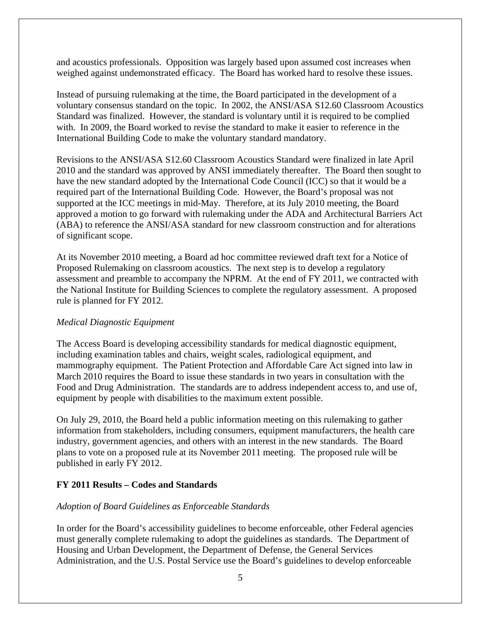and acoustics professionals. Opposition was largely based upon assumed cost increases when weighed against undemonstrated efficacy. The Board has worked hard to resolve these issues.

Instead of pursuing rulemaking at the time, the Board participated in the development of a voluntary consensus standard on the topic. In 2002, the ANSI/ASA S12.60 Classroom Acoustics Standard was finalized. However, the standard is voluntary until it is required to be complied with. In 2009, the Board worked to revise the standard to make it easier to reference in the International Building Code to make the voluntary standard mandatory.

Revisions to the ANSI/ASA S12.60 Classroom Acoustics Standard were finalized in late April 2010 and the standard was approved by ANSI immediately thereafter. The Board then sought to have the new standard adopted by the International Code Council (ICC) so that it would be a required part of the International Building Code. However, the Board's proposal was not supported at the ICC meetings in mid-May. Therefore, at its July 2010 meeting, the Board approved a motion to go forward with rulemaking under the ADA and Architectural Barriers Act (ABA) to reference the ANSI/ASA standard for new classroom construction and for alterations of significant scope.

At its November 2010 meeting, a Board ad hoc committee reviewed draft text for a Notice of Proposed Rulemaking on classroom acoustics. The next step is to develop a regulatory assessment and preamble to accompany the NPRM. At the end of FY 2011, we contracted with the National Institute for Building Sciences to complete the regulatory assessment. A proposed rule is planned for FY 2012.

# *Medical Diagnostic Equipment*

The Access Board is developing accessibility standards for medical diagnostic equipment, including examination tables and chairs, weight scales, radiological equipment, and mammography equipment. The Patient Protection and Affordable Care Act signed into law in March 2010 requires the Board to issue these standards in two years in consultation with the Food and Drug Administration. The standards are to address independent access to, and use of, equipment by people with disabilities to the maximum extent possible.

On July 29, 2010, the Board held a public information meeting on this rulemaking to gather information from stakeholders, including consumers, equipment manufacturers, the health care industry, government agencies, and others with an interest in the new standards. The Board plans to vote on a proposed rule at its November 2011 meeting. The proposed rule will be published in early FY 2012.

# **FY 2011 Results – Codes and Standards**

# *Adoption of Board Guidelines as Enforceable Standards*

In order for the Board's accessibility guidelines to become enforceable, other Federal agencies must generally complete rulemaking to adopt the guidelines as standards. The Department of Housing and Urban Development, the Department of Defense, the General Services Administration, and the U.S. Postal Service use the Board's guidelines to develop enforceable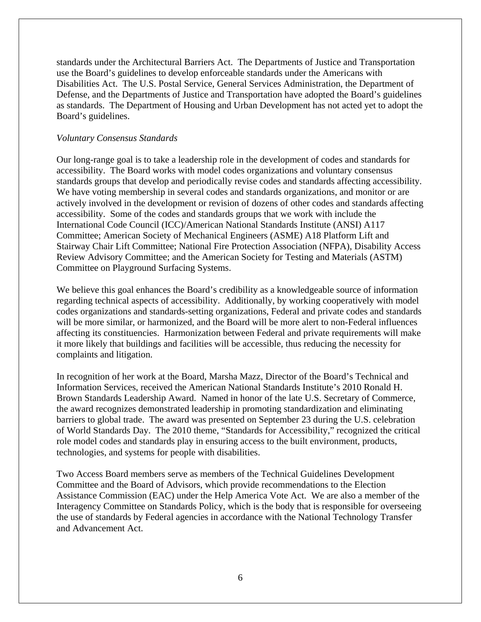standards under the Architectural Barriers Act. The Departments of Justice and Transportation use the Board's guidelines to develop enforceable standards under the Americans with Disabilities Act. The U.S. Postal Service, General Services Administration, the Department of Defense, and the Departments of Justice and Transportation have adopted the Board's guidelines as standards. The Department of Housing and Urban Development has not acted yet to adopt the Board's guidelines.

#### *Voluntary Consensus Standards*

Our long-range goal is to take a leadership role in the development of codes and standards for accessibility. The Board works with model codes organizations and voluntary consensus standards groups that develop and periodically revise codes and standards affecting accessibility. We have voting membership in several codes and standards organizations, and monitor or are actively involved in the development or revision of dozens of other codes and standards affecting accessibility. Some of the codes and standards groups that we work with include the International Code Council (ICC)/American National Standards Institute (ANSI) A117 Committee; American Society of Mechanical Engineers (ASME) A18 Platform Lift and Stairway Chair Lift Committee; National Fire Protection Association (NFPA), Disability Access Review Advisory Committee; and the American Society for Testing and Materials (ASTM) Committee on Playground Surfacing Systems.

We believe this goal enhances the Board's credibility as a knowledgeable source of information regarding technical aspects of accessibility. Additionally, by working cooperatively with model codes organizations and standards-setting organizations, Federal and private codes and standards will be more similar, or harmonized, and the Board will be more alert to non-Federal influences affecting its constituencies. Harmonization between Federal and private requirements will make it more likely that buildings and facilities will be accessible, thus reducing the necessity for complaints and litigation.

In recognition of her work at the Board, Marsha Mazz, Director of the Board's Technical and Information Services, received the American National Standards Institute's 2010 Ronald H. Brown Standards Leadership Award. Named in honor of the late U.S. Secretary of Commerce, the award recognizes demonstrated leadership in promoting standardization and eliminating barriers to global trade. The award was presented on September 23 during the U.S. celebration of World Standards Day. The 2010 theme, "Standards for Accessibility," recognized the critical role model codes and standards play in ensuring access to the built environment, products, technologies, and systems for people with disabilities.

Two Access Board members serve as members of the Technical Guidelines Development Committee and the Board of Advisors, which provide recommendations to the Election Assistance Commission (EAC) under the Help America Vote Act. We are also a member of the Interagency Committee on Standards Policy, which is the body that is responsible for overseeing the use of standards by Federal agencies in accordance with the National Technology Transfer and Advancement Act.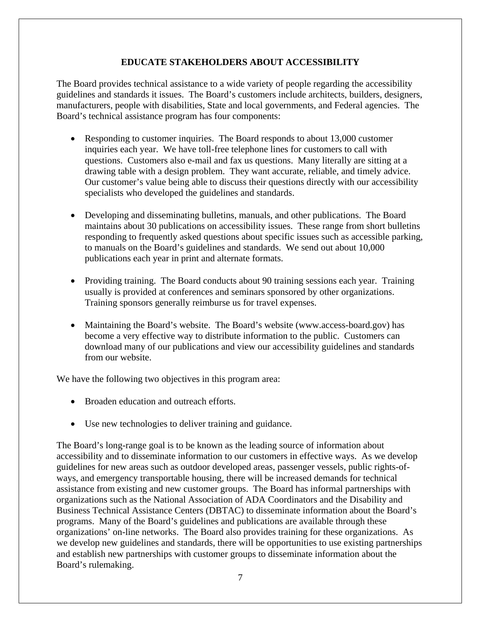# **EDUCATE STAKEHOLDERS ABOUT ACCESSIBILITY**

The Board provides technical assistance to a wide variety of people regarding the accessibility guidelines and standards it issues. The Board's customers include architects, builders, designers, manufacturers, people with disabilities, State and local governments, and Federal agencies. The Board's technical assistance program has four components:

- Responding to customer inquiries. The Board responds to about 13,000 customer inquiries each year. We have toll-free telephone lines for customers to call with questions. Customers also e-mail and fax us questions. Many literally are sitting at a drawing table with a design problem. They want accurate, reliable, and timely advice. Our customer's value being able to discuss their questions directly with our accessibility specialists who developed the guidelines and standards.
- Developing and disseminating bulletins, manuals, and other publications. The Board maintains about 30 publications on accessibility issues. These range from short bulletins responding to frequently asked questions about specific issues such as accessible parking, to manuals on the Board's guidelines and standards. We send out about 10,000 publications each year in print and alternate formats.
- Providing training. The Board conducts about 90 training sessions each year. Training usually is provided at conferences and seminars sponsored by other organizations. Training sponsors generally reimburse us for travel expenses.
- Maintaining the Board's website. The Board's website (www.access-board.gov) has become a very effective way to distribute information to the public. Customers can download many of our publications and view our accessibility guidelines and standards from our website.

We have the following two objectives in this program area:

- Broaden education and outreach efforts.
- Use new technologies to deliver training and guidance.

The Board's long-range goal is to be known as the leading source of information about accessibility and to disseminate information to our customers in effective ways. As we develop guidelines for new areas such as outdoor developed areas, passenger vessels, public rights-ofways, and emergency transportable housing, there will be increased demands for technical assistance from existing and new customer groups. The Board has informal partnerships with organizations such as the National Association of ADA Coordinators and the Disability and Business Technical Assistance Centers (DBTAC) to disseminate information about the Board's programs. Many of the Board's guidelines and publications are available through these organizations' on-line networks. The Board also provides training for these organizations. As we develop new guidelines and standards, there will be opportunities to use existing partnerships and establish new partnerships with customer groups to disseminate information about the Board's rulemaking.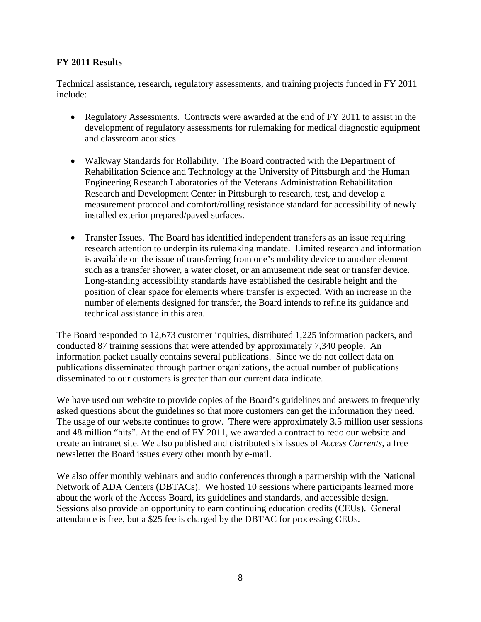# **FY 2011 Results**

Technical assistance, research, regulatory assessments, and training projects funded in FY 2011 include:

- Regulatory Assessments. Contracts were awarded at the end of FY 2011 to assist in the development of regulatory assessments for rulemaking for medical diagnostic equipment and classroom acoustics.
- Walkway Standards for Rollability. The Board contracted with the Department of Rehabilitation Science and Technology at the University of Pittsburgh and the Human Engineering Research Laboratories of the Veterans Administration Rehabilitation Research and Development Center in Pittsburgh to research, test, and develop a measurement protocol and comfort/rolling resistance standard for accessibility of newly installed exterior prepared/paved surfaces.
- Transfer Issues. The Board has identified independent transfers as an issue requiring research attention to underpin its rulemaking mandate. Limited research and information is available on the issue of transferring from one's mobility device to another element such as a transfer shower, a water closet, or an amusement ride seat or transfer device. Long-standing accessibility standards have established the desirable height and the position of clear space for elements where transfer is expected. With an increase in the number of elements designed for transfer, the Board intends to refine its guidance and technical assistance in this area.

The Board responded to 12,673 customer inquiries, distributed 1,225 information packets, and conducted 87 training sessions that were attended by approximately 7,340 people. An information packet usually contains several publications. Since we do not collect data on publications disseminated through partner organizations, the actual number of publications disseminated to our customers is greater than our current data indicate.

We have used our website to provide copies of the Board's guidelines and answers to frequently asked questions about the guidelines so that more customers can get the information they need. The usage of our website continues to grow. There were approximately 3.5 million user sessions and 48 million "hits". At the end of FY 2011, we awarded a contract to redo our website and create an intranet site. We also published and distributed six issues of *Access Currents*, a free newsletter the Board issues every other month by e-mail.

We also offer monthly webinars and audio conferences through a partnership with the National Network of ADA Centers (DBTACs). We hosted 10 sessions where participants learned more about the work of the Access Board, its guidelines and standards, and accessible design. Sessions also provide an opportunity to earn continuing education credits (CEUs). General attendance is free, but a \$25 fee is charged by the DBTAC for processing CEUs.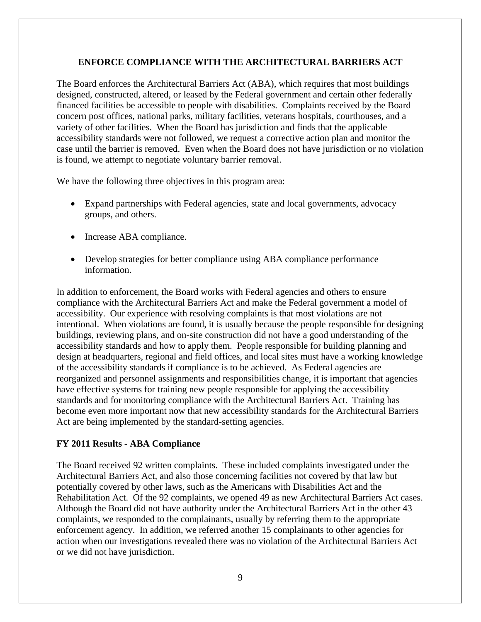# **ENFORCE COMPLIANCE WITH THE ARCHITECTURAL BARRIERS ACT**

The Board enforces the Architectural Barriers Act (ABA), which requires that most buildings designed, constructed, altered, or leased by the Federal government and certain other federally financed facilities be accessible to people with disabilities. Complaints received by the Board concern post offices, national parks, military facilities, veterans hospitals, courthouses, and a variety of other facilities. When the Board has jurisdiction and finds that the applicable accessibility standards were not followed, we request a corrective action plan and monitor the case until the barrier is removed. Even when the Board does not have jurisdiction or no violation is found, we attempt to negotiate voluntary barrier removal.

We have the following three objectives in this program area:

- Expand partnerships with Federal agencies, state and local governments, advocacy groups, and others.
- Increase ABA compliance.
- Develop strategies for better compliance using ABA compliance performance information.

In addition to enforcement, the Board works with Federal agencies and others to ensure compliance with the Architectural Barriers Act and make the Federal government a model of accessibility. Our experience with resolving complaints is that most violations are not intentional. When violations are found, it is usually because the people responsible for designing buildings, reviewing plans, and on-site construction did not have a good understanding of the accessibility standards and how to apply them. People responsible for building planning and design at headquarters, regional and field offices, and local sites must have a working knowledge of the accessibility standards if compliance is to be achieved. As Federal agencies are reorganized and personnel assignments and responsibilities change, it is important that agencies have effective systems for training new people responsible for applying the accessibility standards and for monitoring compliance with the Architectural Barriers Act. Training has become even more important now that new accessibility standards for the Architectural Barriers Act are being implemented by the standard-setting agencies.

# **FY 2011 Results - ABA Compliance**

The Board received 92 written complaints. These included complaints investigated under the Architectural Barriers Act, and also those concerning facilities not covered by that law but potentially covered by other laws, such as the Americans with Disabilities Act and the Rehabilitation Act. Of the 92 complaints, we opened 49 as new Architectural Barriers Act cases. Although the Board did not have authority under the Architectural Barriers Act in the other 43 complaints, we responded to the complainants, usually by referring them to the appropriate enforcement agency. In addition, we referred another 15 complainants to other agencies for action when our investigations revealed there was no violation of the Architectural Barriers Act or we did not have jurisdiction.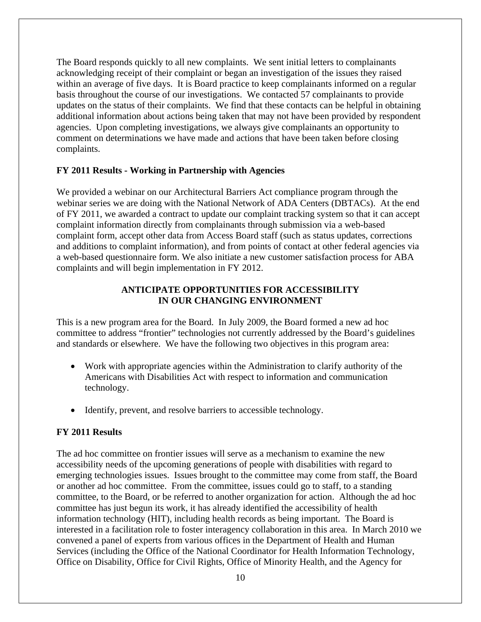The Board responds quickly to all new complaints. We sent initial letters to complainants acknowledging receipt of their complaint or began an investigation of the issues they raised within an average of five days. It is Board practice to keep complainants informed on a regular basis throughout the course of our investigations. We contacted 57 complainants to provide updates on the status of their complaints. We find that these contacts can be helpful in obtaining additional information about actions being taken that may not have been provided by respondent agencies. Upon completing investigations, we always give complainants an opportunity to comment on determinations we have made and actions that have been taken before closing complaints.

#### **FY 2011 Results - Working in Partnership with Agencies**

We provided a webinar on our Architectural Barriers Act compliance program through the webinar series we are doing with the National Network of ADA Centers (DBTACs). At the end of FY 2011, we awarded a contract to update our complaint tracking system so that it can accept complaint information directly from complainants through submission via a web-based complaint form, accept other data from Access Board staff (such as status updates, corrections and additions to complaint information), and from points of contact at other federal agencies via a web-based questionnaire form. We also initiate a new customer satisfaction process for ABA complaints and will begin implementation in FY 2012.

# **ANTICIPATE OPPORTUNITIES FOR ACCESSIBILITY IN OUR CHANGING ENVIRONMENT**

This is a new program area for the Board. In July 2009, the Board formed a new ad hoc committee to address "frontier" technologies not currently addressed by the Board's guidelines and standards or elsewhere. We have the following two objectives in this program area:

- Work with appropriate agencies within the Administration to clarify authority of the Americans with Disabilities Act with respect to information and communication technology.
- Identify, prevent, and resolve barriers to accessible technology.

# **FY 2011 Results**

The ad hoc committee on frontier issues will serve as a mechanism to examine the new accessibility needs of the upcoming generations of people with disabilities with regard to emerging technologies issues. Issues brought to the committee may come from staff, the Board or another ad hoc committee. From the committee, issues could go to staff, to a standing committee, to the Board, or be referred to another organization for action. Although the ad hoc committee has just begun its work, it has already identified the accessibility of health information technology (HIT), including health records as being important. The Board is interested in a facilitation role to foster interagency collaboration in this area. In March 2010 we convened a panel of experts from various offices in the Department of Health and Human Services (including the Office of the National Coordinator for Health Information Technology, Office on Disability, Office for Civil Rights, Office of Minority Health, and the Agency for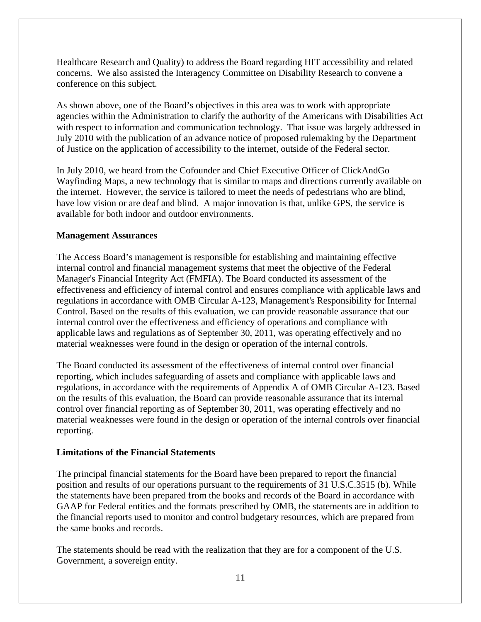Healthcare Research and Quality) to address the Board regarding HIT accessibility and related concerns. We also assisted the Interagency Committee on Disability Research to convene a conference on this subject.

As shown above, one of the Board's objectives in this area was to work with appropriate agencies within the Administration to clarify the authority of the Americans with Disabilities Act with respect to information and communication technology. That issue was largely addressed in July 2010 with the publication of an advance notice of proposed rulemaking by the Department of Justice on the application of accessibility to the internet, outside of the Federal sector.

In July 2010, we heard from the Cofounder and Chief Executive Officer of ClickAndGo Wayfinding Maps, a new technology that is similar to maps and directions currently available on the internet. However, the service is tailored to meet the needs of pedestrians who are blind, have low vision or are deaf and blind. A major innovation is that, unlike GPS, the service is available for both indoor and outdoor environments.

# **Management Assurances**

The Access Board's management is responsible for establishing and maintaining effective internal control and financial management systems that meet the objective of the Federal Manager's Financial Integrity Act (FMFIA). The Board conducted its assessment of the effectiveness and efficiency of internal control and ensures compliance with applicable laws and regulations in accordance with OMB Circular A-123, Management's Responsibility for Internal Control. Based on the results of this evaluation, we can provide reasonable assurance that our internal control over the effectiveness and efficiency of operations and compliance with applicable laws and regulations as of September 30, 2011, was operating effectively and no material weaknesses were found in the design or operation of the internal controls.

The Board conducted its assessment of the effectiveness of internal control over financial reporting, which includes safeguarding of assets and compliance with applicable laws and regulations, in accordance with the requirements of Appendix A of OMB Circular A-123. Based on the results of this evaluation, the Board can provide reasonable assurance that its internal control over financial reporting as of September 30, 2011, was operating effectively and no material weaknesses were found in the design or operation of the internal controls over financial reporting.

# **Limitations of the Financial Statements**

The principal financial statements for the Board have been prepared to report the financial position and results of our operations pursuant to the requirements of 31 U.S.C.3515 (b). While the statements have been prepared from the books and records of the Board in accordance with GAAP for Federal entities and the formats prescribed by OMB, the statements are in addition to the financial reports used to monitor and control budgetary resources, which are prepared from the same books and records.

The statements should be read with the realization that they are for a component of the U.S. Government, a sovereign entity.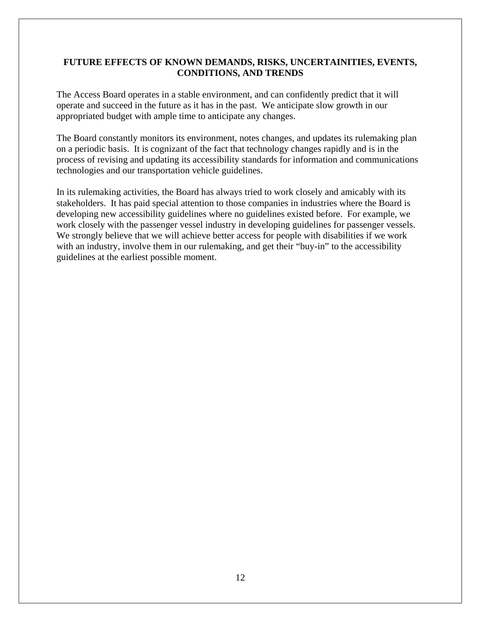# **FUTURE EFFECTS OF KNOWN DEMANDS, RISKS, UNCERTAINITIES, EVENTS, CONDITIONS, AND TRENDS**

The Access Board operates in a stable environment, and can confidently predict that it will operate and succeed in the future as it has in the past. We anticipate slow growth in our appropriated budget with ample time to anticipate any changes.

The Board constantly monitors its environment, notes changes, and updates its rulemaking plan on a periodic basis. It is cognizant of the fact that technology changes rapidly and is in the process of revising and updating its accessibility standards for information and communications technologies and our transportation vehicle guidelines.

In its rulemaking activities, the Board has always tried to work closely and amicably with its stakeholders. It has paid special attention to those companies in industries where the Board is developing new accessibility guidelines where no guidelines existed before. For example, we work closely with the passenger vessel industry in developing guidelines for passenger vessels. We strongly believe that we will achieve better access for people with disabilities if we work with an industry, involve them in our rulemaking, and get their "buy-in" to the accessibility guidelines at the earliest possible moment.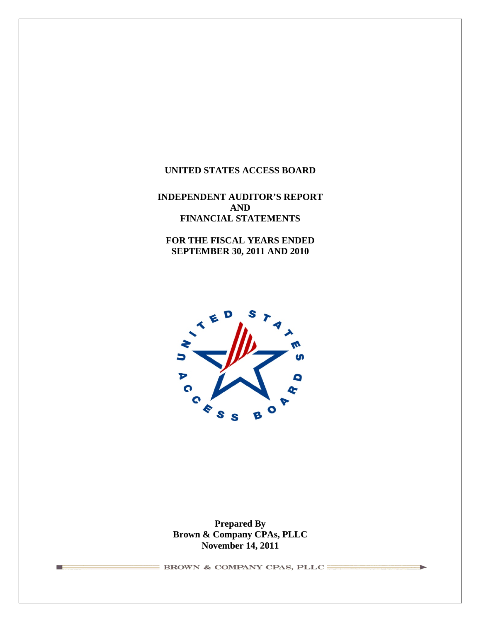# **UNITED STATES ACCESS BOARD**

# **INDEPENDENT AUDITOR'S REPORT AND FINANCIAL STATEMENTS**

**FOR THE FISCAL YEARS ENDED SEPTEMBER 30, 2011 AND 2010** 



**Prepared By Brown & Company CPAs, PLLC November 14, 2011**

 $\equiv$  BROWN & COMPANY CPAS, PLLC

**The Contract State**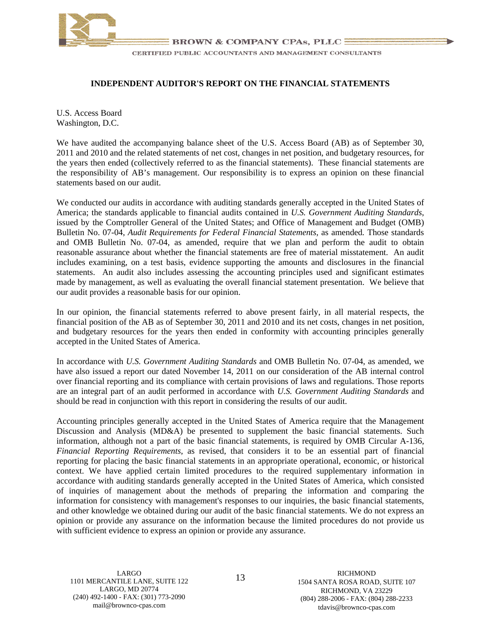

#### **INDEPENDENT AUDITOR'S REPORT ON THE FINANCIAL STATEMENTS**

U.S. Access Board Washington, D.C.

We have audited the accompanying balance sheet of the U.S. Access Board (AB) as of September 30, 2011 and 2010 and the related statements of net cost, changes in net position, and budgetary resources, for the years then ended (collectively referred to as the financial statements). These financial statements are the responsibility of AB's management. Our responsibility is to express an opinion on these financial statements based on our audit.

We conducted our audits in accordance with auditing standards generally accepted in the United States of America; the standards applicable to financial audits contained in *U.S. Government Auditing Standards*, issued by the Comptroller General of the United States; and Office of Management and Budget (OMB) Bulletin No. 07-04, *Audit Requirements for Federal Financial Statements,* as amended*.* Those standards and OMB Bulletin No. 07-04, as amended, require that we plan and perform the audit to obtain reasonable assurance about whether the financial statements are free of material misstatement. An audit includes examining, on a test basis, evidence supporting the amounts and disclosures in the financial statements. An audit also includes assessing the accounting principles used and significant estimates made by management, as well as evaluating the overall financial statement presentation. We believe that our audit provides a reasonable basis for our opinion.

In our opinion, the financial statements referred to above present fairly, in all material respects, the financial position of the AB as of September 30, 2011 and 2010 and its net costs, changes in net position, and budgetary resources for the years then ended in conformity with accounting principles generally accepted in the United States of America.

In accordance with *U.S. Government Auditing Standards* and OMB Bulletin No. 07-04, as amended, we have also issued a report our dated November 14, 2011 on our consideration of the AB internal control over financial reporting and its compliance with certain provisions of laws and regulations. Those reports are an integral part of an audit performed in accordance with *U.S. Government Auditing Standards* and should be read in conjunction with this report in considering the results of our audit.

Accounting principles generally accepted in the United States of America require that the Management Discussion and Analysis (MD&A) be presented to supplement the basic financial statements. Such information, although not a part of the basic financial statements, is required by OMB Circular A-136, *Financial Reporting Requirements*, as revised, that considers it to be an essential part of financial reporting for placing the basic financial statements in an appropriate operational, economic, or historical context. We have applied certain limited procedures to the required supplementary information in accordance with auditing standards generally accepted in the United States of America, which consisted of inquiries of management about the methods of preparing the information and comparing the information for consistency with management's responses to our inquiries, the basic financial statements, and other knowledge we obtained during our audit of the basic financial statements. We do not express an opinion or provide any assurance on the information because the limited procedures do not provide us with sufficient evidence to express an opinion or provide any assurance.

LARGO, MD 20774 RICHMOND, VA 23229<br>(240) 492-1400 - FAX: (301) 773-2090 (240) 492-1400 - FAX: (301) 773-2090

LARGO RICHMOND<br>13 1101 MERCANTILE LANE, SUITE 122 1504 SANTA ROSA ROAD, SUITE 107<br>1504 SANTA ROSA ROAD, SUITE 107 (2400 - FAX: (301) 773-2090<br>
mail@brownco-cpas.com (804) 288-2006 - FAX: (804) 288-2233<br>
davis@brownco-cpas.com (davis@brownco-cpas.com tdavis@brownco-cpas.com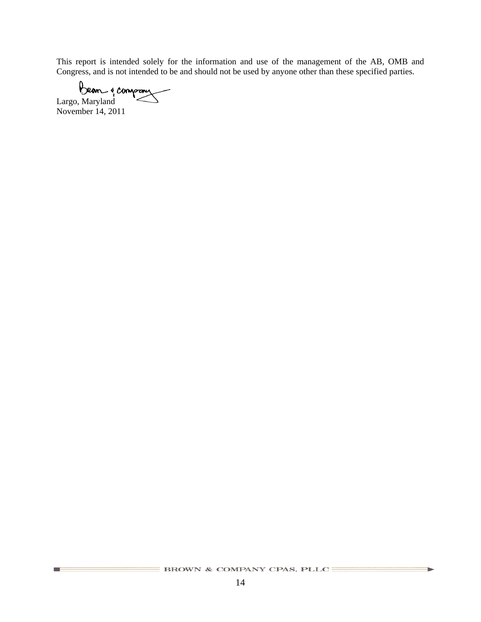This report is intended solely for the information and use of the management of the AB, OMB and Congress, and is not intended to be and should not be used by anyone other than these specified parties.

Largo, Maryland

November 14, 2011

**Contract** 

ъ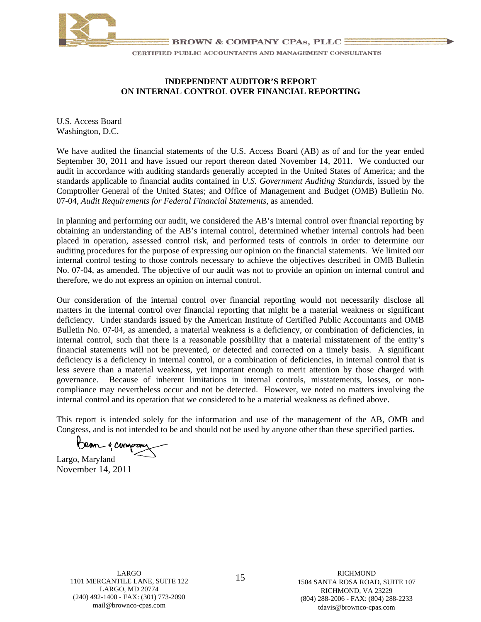

#### **INDEPENDENT AUDITOR'S REPORT ON INTERNAL CONTROL OVER FINANCIAL REPORTING**

U.S. Access Board Washington, D.C.

We have audited the financial statements of the U.S. Access Board (AB) as of and for the year ended September 30, 2011 and have issued our report thereon dated November 14, 2011. We conducted our audit in accordance with auditing standards generally accepted in the United States of America; and the standards applicable to financial audits contained in *U.S. Government Auditing Standards*, issued by the Comptroller General of the United States; and Office of Management and Budget (OMB) Bulletin No. 07-04, *Audit Requirements for Federal Financial Statements,* as amended*.* 

In planning and performing our audit, we considered the AB's internal control over financial reporting by obtaining an understanding of the AB's internal control, determined whether internal controls had been placed in operation, assessed control risk, and performed tests of controls in order to determine our auditing procedures for the purpose of expressing our opinion on the financial statements. We limited our internal control testing to those controls necessary to achieve the objectives described in OMB Bulletin No. 07-04, as amended. The objective of our audit was not to provide an opinion on internal control and therefore, we do not express an opinion on internal control.

Our consideration of the internal control over financial reporting would not necessarily disclose all matters in the internal control over financial reporting that might be a material weakness or significant deficiency. Under standards issued by the American Institute of Certified Public Accountants and OMB Bulletin No. 07-04, as amended, a material weakness is a deficiency, or combination of deficiencies, in internal control, such that there is a reasonable possibility that a material misstatement of the entity's financial statements will not be prevented, or detected and corrected on a timely basis. A significant deficiency is a deficiency in internal control, or a combination of deficiencies, in internal control that is less severe than a material weakness, yet important enough to merit attention by those charged with governance. Because of inherent limitations in internal controls, misstatements, losses, or noncompliance may nevertheless occur and not be detected. However, we noted no matters involving the internal control and its operation that we considered to be a material weakness as defined above.

This report is intended solely for the information and use of the management of the AB, OMB and Congress, and is not intended to be and should not be used by anyone other than these specified parties.

Bean & compon

Largo, Maryland November 14, 2011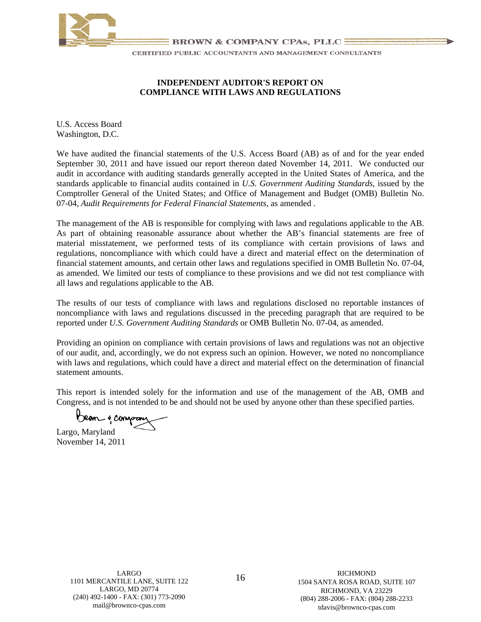

# **INDEPENDENT AUDITOR'S REPORT ON COMPLIANCE WITH LAWS AND REGULATIONS**

U.S. Access Board Washington, D.C.

We have audited the financial statements of the U.S. Access Board (AB) as of and for the year ended September 30, 2011 and have issued our report thereon dated November 14, 2011. We conducted our audit in accordance with auditing standards generally accepted in the United States of America, and the standards applicable to financial audits contained in *U.S. Government Auditing Standards*, issued by the Comptroller General of the United States; and Office of Management and Budget (OMB) Bulletin No. 07-04, *Audit Requirements for Federal Financial Statements,* as amended *.* 

The management of the AB is responsible for complying with laws and regulations applicable to the AB. As part of obtaining reasonable assurance about whether the AB's financial statements are free of material misstatement, we performed tests of its compliance with certain provisions of laws and regulations, noncompliance with which could have a direct and material effect on the determination of financial statement amounts, and certain other laws and regulations specified in OMB Bulletin No. 07-04, as amended. We limited our tests of compliance to these provisions and we did not test compliance with all laws and regulations applicable to the AB.

The results of our tests of compliance with laws and regulations disclosed no reportable instances of noncompliance with laws and regulations discussed in the preceding paragraph that are required to be reported under *U.S. Government Auditing Standards* or OMB Bulletin No. 07-04, as amended.

Providing an opinion on compliance with certain provisions of laws and regulations was not an objective of our audit, and, accordingly, we do not express such an opinion. However, we noted no noncompliance with laws and regulations, which could have a direct and material effect on the determination of financial statement amounts.

This report is intended solely for the information and use of the management of the AB, OMB and Congress, and is not intended to be and should not be used by anyone other than these specified parties.

Bean & comp

Largo, Maryland November 14, 2011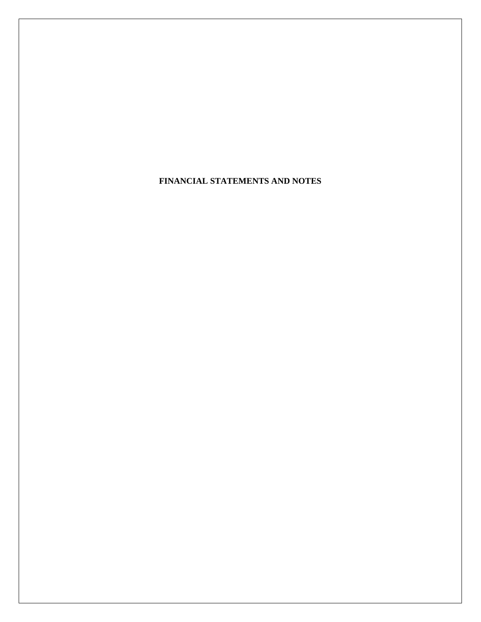**FINANCIAL STATEMENTS AND NOTES**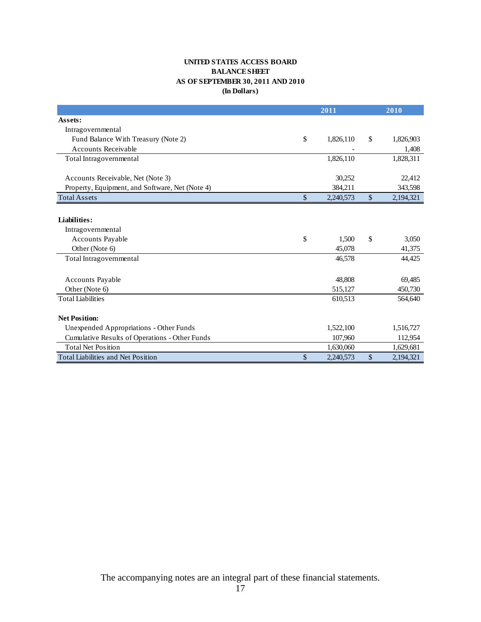#### **UNITED STATES ACCESS BOARD BALANCE SHEET AS OF SEPTEMBER 30, 2011 AND 2010 (In Dollars)**

|                                                 |               | 2011      |       | 2010      |
|-------------------------------------------------|---------------|-----------|-------|-----------|
| Assets:                                         |               |           |       |           |
| Intragovernmental                               |               |           |       |           |
| Fund Balance With Treasury (Note 2)             | \$            | 1,826,110 | \$    | 1,826,903 |
| <b>Accounts Receivable</b>                      |               |           |       | 1,408     |
| Total Intragovernmental                         |               | 1,826,110 |       | 1,828,311 |
| Accounts Receivable, Net (Note 3)               |               | 30,252    |       | 22,412    |
| Property, Equipment, and Software, Net (Note 4) |               | 384,211   |       | 343,598   |
| <b>Total Assets</b>                             | $\frac{1}{2}$ | 2,240,573 | $\$$  | 2,194,321 |
|                                                 |               |           |       |           |
| Liabilities:                                    |               |           |       |           |
| Intragovernmental                               |               |           |       |           |
| Accounts Payable                                | \$            | 1,500     | \$    | 3,050     |
| Other (Note 6)                                  |               | 45,078    |       | 41,375    |
| Total Intragovernmental                         |               | 46,578    |       | 44,425    |
| <b>Accounts Payable</b>                         |               | 48,808    |       | 69,485    |
| Other (Note 6)                                  |               | 515,127   |       | 450,730   |
| <b>Total Liabilities</b>                        |               | 610,513   |       | 564,640   |
| <b>Net Position:</b>                            |               |           |       |           |
| Unexpended Appropriations - Other Funds         |               | 1,522,100 |       | 1,516,727 |
| Cumulative Results of Operations - Other Funds  |               | 107,960   |       | 112,954   |
| <b>Total Net Position</b>                       |               | 1,630,060 |       | 1,629,681 |
| <b>Total Liabilities and Net Position</b>       | \$            | 2,240,573 | $\$\$ | 2,194,321 |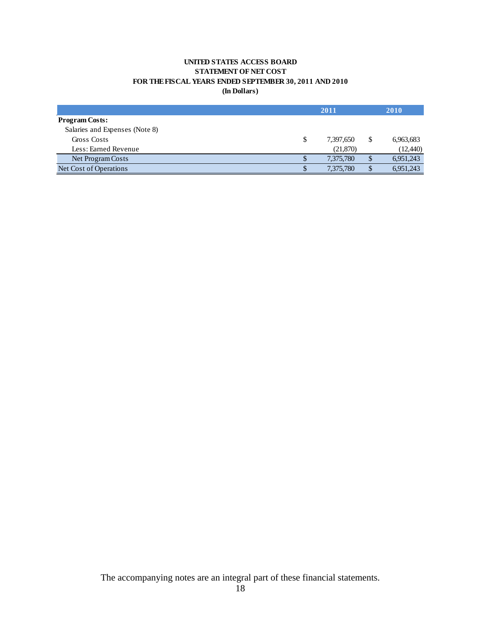#### **UNITED STATES ACCESS BOARD STATEMENT OF NET COST FOR THE FISCAL YEARS ENDED SEPTEMBER 30, 2011 AND 2010 (In Dollars)**

|                                |    | 2011      |              | 2010      |
|--------------------------------|----|-----------|--------------|-----------|
| <b>Program Costs:</b>          |    |           |              |           |
| Salaries and Expenses (Note 8) |    |           |              |           |
| Gross Costs                    | \$ | 7,397,650 | \$           | 6,963,683 |
| Less: Earned Revenue           |    | (21,870)  |              | (12, 440) |
| Net Program Costs              | \$ | 7,375,780 | \$           | 6,951,243 |
| Net Cost of Operations         | Φ  | 7,375,780 | $\mathbb{S}$ | 6,951,243 |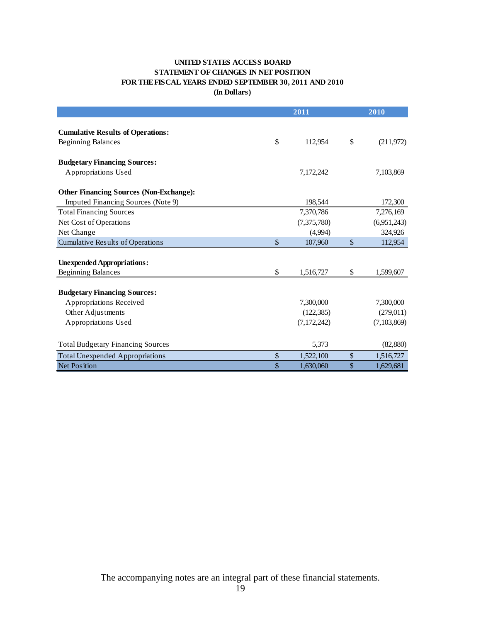#### **STATEMENT OF CHANGES IN NET POSITION FOR THE FISCAL YEARS ENDED SEPTEMBER 30, 2011 AND 2010 UNITED STATES ACCESS BOARD (In Dollars)**

|                                                | 2011          |               |               | 2010        |
|------------------------------------------------|---------------|---------------|---------------|-------------|
|                                                |               |               |               |             |
| <b>Cumulative Results of Operations:</b>       |               |               |               |             |
| <b>Beginning Balances</b>                      | \$            | 112,954       | \$            | (211, 972)  |
|                                                |               |               |               |             |
| <b>Budgetary Financing Sources:</b>            |               |               |               |             |
| Appropriations Used                            |               | 7,172,242     |               | 7,103,869   |
| <b>Other Financing Sources (Non-Exchange):</b> |               |               |               |             |
| Imputed Financing Sources (Note 9)             |               | 198,544       |               | 172,300     |
| <b>Total Financing Sources</b>                 |               | 7,370,786     |               | 7,276,169   |
| Net Cost of Operations                         |               | (7,375,780)   |               | (6,951,243) |
| Net Change                                     |               | (4,994)       |               | 324,926     |
| <b>Cumulative Results of Operations</b>        | $\mathcal{S}$ | 107,960       | $\mathcal{S}$ | 112,954     |
|                                                |               |               |               |             |
| <b>Unexpended Appropriations:</b>              |               |               |               |             |
| <b>Beginning Balances</b>                      | \$            | 1,516,727     | \$            | 1,599,607   |
|                                                |               |               |               |             |
| <b>Budgetary Financing Sources:</b>            |               |               |               |             |
| Appropriations Received                        |               | 7,300,000     |               | 7,300,000   |
| Other Adjustments                              |               | (122, 385)    |               | (279, 011)  |
| Appropriations Used                            |               | (7, 172, 242) |               | (7,103,869) |
|                                                |               |               |               |             |
| <b>Total Budgetary Financing Sources</b>       |               | 5,373         |               | (82, 880)   |
| <b>Total Unexpended Appropriations</b>         | \$            | 1,522,100     | \$            | 1,516,727   |
| <b>Net Position</b>                            | \$            | 1,630,060     | \$            | 1,629,681   |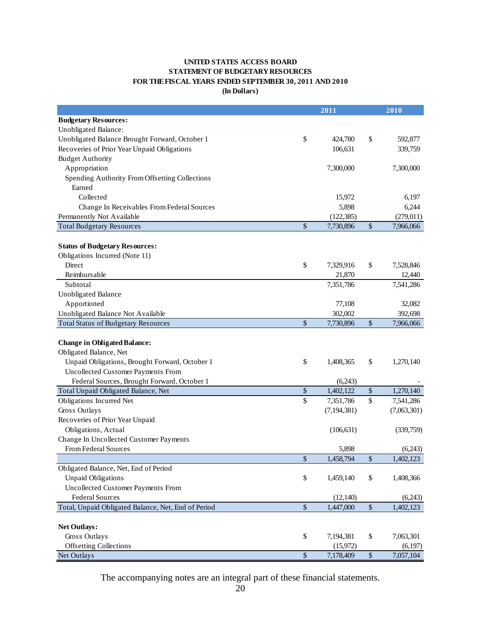#### **UNITED STATES ACCESS BOARD STATEMENT OF BUDGETARY RESOURCES FOR THE FISCAL YEARS ENDED SEPTEMBER 30, 2011 AND 2010 (In Dollars)**

|                                                     |               | 2011          |             | 2010        |
|-----------------------------------------------------|---------------|---------------|-------------|-------------|
| <b>Budgetary Resources:</b>                         |               |               |             |             |
| Unobligated Balance:                                |               |               |             |             |
| Unobligated Balance Brought Forward, October 1      | \$            | 424,780       | \$          | 592,877     |
| Recoveries of Prior Year Unpaid Obligations         |               | 106,631       |             | 339,759     |
| <b>Budget Authority</b>                             |               |               |             |             |
| Appropriation                                       |               | 7,300,000     |             | 7,300,000   |
| Spending Authority From Offsetting Collections      |               |               |             |             |
| Earned                                              |               |               |             |             |
| Collected                                           |               | 15,972        |             | 6,197       |
| Change In Receivables From Federal Sources          |               | 5,898         |             | 6,244       |
| Permanently Not Available                           |               | (122, 385)    |             | (279, 011)  |
| <b>Total Budgetary Resources</b>                    | \$            | 7,730,896     | $\$$        | 7,966,066   |
|                                                     |               |               |             |             |
| <b>Status of Budgetary Resources:</b>               |               |               |             |             |
| Obligations Incurred (Note 11)                      |               |               |             |             |
| Direct                                              | \$            | 7,329,916     | \$          | 7,528,846   |
| Reimbursable                                        |               | 21,870        |             | 12,440      |
| Subtotal                                            |               | 7,351,786     |             | 7,541,286   |
| <b>Unobligated Balance</b>                          |               |               |             |             |
| Apportioned                                         |               | 77,108        |             | 32,082      |
| Unobligated Balance Not Available                   |               | 302,002       |             | 392,698     |
| <b>Total Status of Budgetary Resources</b>          | \$            | 7,730,896     | $\sqrt{\ }$ | 7,966,066   |
|                                                     |               |               |             |             |
| <b>Change in Obligated Balance:</b>                 |               |               |             |             |
| Obligated Balance, Net                              |               |               |             |             |
| Unpaid Obligations, Brought Forward, October 1      | \$            | 1,408,365     | \$          | 1,270,140   |
| Uncollected Customer Payments From                  |               |               |             |             |
| Federal Sources, Brought Forward, October 1         |               | (6,243)       |             |             |
| Total Unpaid Obligated Balance, Net                 | \$            | 1,402,122     | \$          | 1,270,140   |
| Obligations Incurred Net                            | \$            | 7,351,786     | \$          | 7,541,286   |
| Gross Outlays                                       |               | (7, 194, 381) |             | (7,063,301) |
| Recoveries of Prior Year Unpaid                     |               |               |             |             |
| Obligations, Actual                                 |               | (106, 631)    |             | (339,759)   |
| Change In Uncollected Customer Payments             |               |               |             |             |
| From Federal Sources                                |               | 5,898         |             | (6,243)     |
|                                                     | \$            | 1,458,794     | \$          | 1,402,123   |
| Obligated Balance, Net, End of Period               |               |               |             |             |
| <b>Unpaid Obligations</b>                           | \$            | 1,459,140     | \$          | 1,408,366   |
| Uncollected Customer Payments From                  |               |               |             |             |
| <b>Federal Sources</b>                              |               | (12, 140)     |             | (6,243)     |
| Total, Unpaid Obligated Balance, Net, End of Period | $\frac{1}{2}$ | 1,447,000     | $\sqrt{\ }$ | 1,402,123   |
|                                                     |               |               |             |             |
| <b>Net Outlays:</b>                                 |               |               |             |             |
| Gross Outlays                                       | \$            | 7,194,381     | \$          | 7,063,301   |
| <b>Offsetting Collections</b>                       |               | (15,972)      |             | (6,197)     |
| Net Outlays                                         | \$            | 7,178,409     | $\$\,$      | 7,057,104   |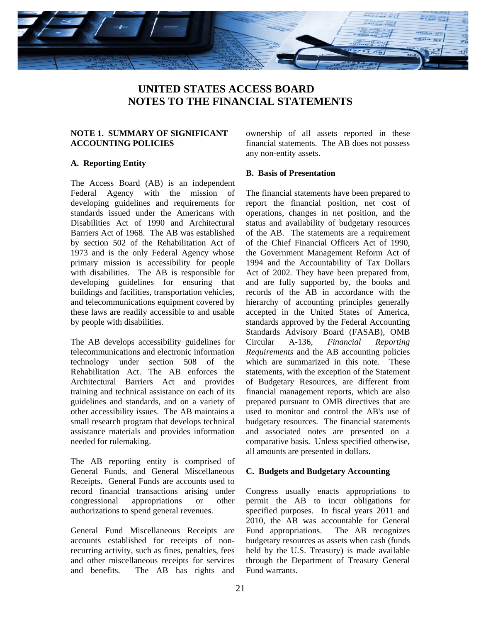<span id="page-26-0"></span>

# **UNITED STATES ACCESS BOARD NOTES TO THE FINANCIAL STATEMENTS**

#### **NOTE 1. SUMMARY OF SIGNIFICANT ACCOUNTING POLICIES**

#### **A. Reporting Entity**

The Access Board (AB) is an independent Federal Agency with the mission of developing guidelines and requirements for standards issued under the Americans with Disabilities Act of 1990 and Architectural Barriers Act of 1968. The AB was established by section 502 of the Rehabilitation Act of 1973 and is the only Federal Agency whose primary mission is accessibility for people with disabilities. The AB is responsible for developing guidelines for ensuring that buildings and facilities, transportation vehicles, and telecommunications equipment covered by these laws are readily accessible to and usable by people with disabilities.

The AB develops accessibility guidelines for telecommunications and electronic information technology under section 508 of the Rehabilitation Act. The AB enforces the Architectural Barriers Act and provides training and technical assistance on each of its guidelines and standards, and on a variety of other accessibility issues. The AB maintains a small research program that develops technical assistance materials and provides information needed for rulemaking.

The AB reporting entity is comprised of General Funds, and General Miscellaneous Receipts. General Funds are accounts used to record financial transactions arising under congressional appropriations or other authorizations to spend general revenues.

General Fund Miscellaneous Receipts are accounts established for receipts of nonrecurring activity, such as fines, penalties, fees and other miscellaneous receipts for services and benefits. The AB has rights and

 any non-entity assets. ownership of all assets reported in these financial statements. The AB does not possess

#### **B. Basis of Presentation**

The financial statements have been prepared to report the financial position, net cost of operations, changes in net position, and the status and availability of budgetary resources of the AB. The statements are a requirement of the Chief Financial Officers Act of 1990, the Government Management Reform Act of 1994 and the Accountability of Tax Dollars Act of 2002*.* They have been prepared from, and are fully supported by, the books and records of the AB in accordance with the hierarchy of accounting principles generally accepted in the United States of America, standards approved by the Federal Accounting Standards Advisory Board (FASAB), OMB Circular A-136, *Financial Reporting Requirements* and the AB accounting policies which are summarized in this note. These statements, with the exception of the Statement of Budgetary Resources, are different from financial management reports, which are also prepared pursuant to OMB directives that are used to monitor and control the AB's use of budgetary resources. The financial statements and associated notes are presented on a comparative basis. Unless specified otherwise, all amounts are presented in dollars.

#### **C. Budgets and Budgetary Accounting**

Congress usually enacts appropriations to permit the AB to incur obligations for specified purposes. In fiscal years 2011 and 2010, the AB was accountable for General Fund appropriations. The AB recognizes budgetary resources as assets when cash (funds held by the U.S. Treasury) is made available through the Department of Treasury General Fund warrants.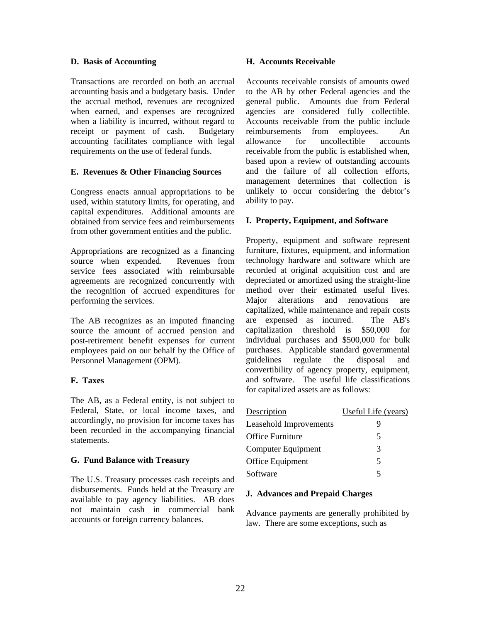#### **D. Basis of Accounting**

Transactions are recorded on both an accrual accounting basis and a budgetary basis. Under the accrual method, revenues are recognized when earned, and expenses are recognized when a liability is incurred, without regard to receipt or payment of cash. Budgetary accounting facilitates compliance with legal requirements on the use of federal funds.

#### **E. Revenues & Other Financing Sources**

Congress enacts annual appropriations to be used, within statutory limits, for operating, and capital expenditures. Additional amounts are obtained from service fees and reimbursements from other government entities and the public.

Appropriations are recognized as a financing source when expended. Revenues from service fees associated with reimbursable agreements are recognized concurrently with the recognition of accrued expenditures for performing the services.

The AB recognizes as an imputed financing source the amount of accrued pension and post-retirement benefit expenses for current employees paid on our behalf by the Office of Personnel Management (OPM).

# **F. Taxes**

The AB, as a Federal entity, is not subject to Federal, State, or local income taxes, and accordingly, no provision for income taxes has been recorded in the accompanying financial statements.

# **G. Fund Balance with Treasury**

The U.S. Treasury processes cash receipts and disbursements. Funds held at the Treasury are available to pay agency liabilities. AB does not maintain cash in commercial bank accounts or foreign currency balances.

#### **H. Accounts Receivable**

Accounts receivable consists of amounts owed to the AB by other Federal agencies and the general public. Amounts due from Federal agencies are considered fully collectible. Accounts receivable from the public include reimbursements from employees. An allowance for uncollectible accounts receivable from the public is established when, based upon a review of outstanding accounts and the failure of all collection efforts, management determines that collection is unlikely to occur considering the debtor's ability to pay.

#### **I. Property, Equipment, and Software**

Property, equipment and software represent furniture, fixtures, equipment, and information technology hardware and software which are recorded at original acquisition cost and are depreciated or amortized using the straight-line method over their estimated useful lives. Major alterations and renovations are capitalized, while maintenance and repair costs are expensed as incurred. The AB's capitalization threshold is \$50,000 for individual purchases and \$500,000 for bulk purchases. Applicable standard governmental guidelines regulate the disposal and convertibility of agency property, equipment, and software. The useful life classifications for capitalized assets are as follows:

| Description            | Useful Life (years) |
|------------------------|---------------------|
| Leasehold Improvements |                     |
| Office Furniture       | 5                   |
| Computer Equipment     | 3                   |
| Office Equipment       | 5                   |
| Software               | 5                   |

#### **J. Advances and Prepaid Charges**

Advance payments are generally prohibited by law. There are some exceptions, such as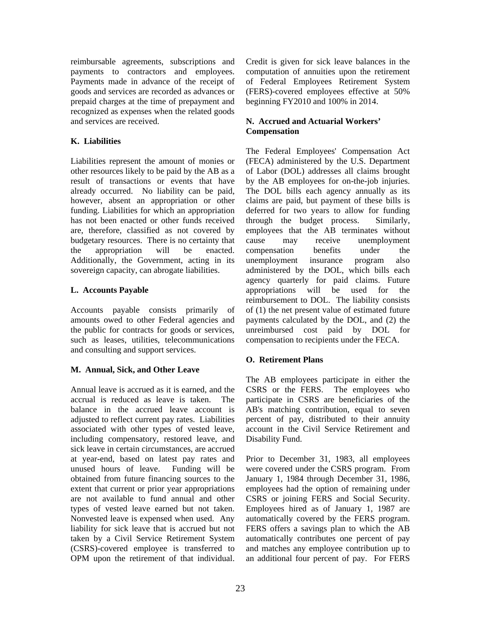reimbursable agreements, subscriptions and payments to contractors and employees. Payments made in advance of the receipt of goods and services are recorded as advances or prepaid charges at the time of prepayment and recognized as expenses when the related goods and services are received.

# **K. Liabilities**

enacted. Liabilities represent the amount of monies or other resources likely to be paid by the AB as a result of transactions or events that have already occurred. No liability can be paid, however, absent an appropriation or other funding. Liabilities for which an appropriation has not been enacted or other funds received are, therefore, classified as not covered by budgetary resources. There is no certainty that the appropriation will be enacted. Additionally, the Government, acting in its sovereign capacity, can abrogate liabilities.

# **L. Accounts Payable**

Accounts payable consists primarily of amounts owed to other Federal agencies and the public for contracts for goods or services, such as leases, utilities, telecommunications and consulting and support services.

# **M. Annual, Sick, and Other Leave**

(CSRS)-covered employee is transferred to OPM upon the retirement of that individual. Annual leave is accrued as it is earned, and the accrual is reduced as leave is taken. The balance in the accrued leave account is adjusted to reflect current pay rates. Liabilities associated with other types of vested leave, including compensatory, restored leave, and sick leave in certain circumstances, are accrued at year-end, based on latest pay rates and unused hours of leave. Funding will be obtained from future financing sources to the extent that current or prior year appropriations are not available to fund annual and other types of vested leave earned but not taken. Nonvested leave is expensed when used. Any liability for sick leave that is accrued but not taken by a Civil Service Retirement System computation of annuities upon the retirement of Federal Employees Retirement System (FERS)-covered employees effective at 50% beginning FY2010 and 100% in 2014.

# **N. Accrued and Actuarial Workers' Compensation**

retiration is a correct of the retired employees for the retire of the Richard Credit is transferred to the retire of the result of the retire of the retirement of the retirement of the retirement of the result of the resu The Federal Employees' Compensation Act (FECA) administered by the U.S. Department of Labor (DOL) addresses all claims brought by the AB employees for on-the-job injuries. The DOL bills each agency annually as its claims are paid, but payment of these bills is deferred for two years to allow for funding through the budget process. Similarly, employees that the AB terminates without cause may receive unemployment compensation benefits under the unemployment insurance program also administered by the DOL, which bills each agency quarterly for paid claims. Future appropriations will be used for the reimbursement to DOL. The liability consists of (1) the net present value of estimated future payments calculated by the DOL, and (2) the unreimbursed cost paid by DOL for compensation to recipients under the FECA.

# **O. Retirement Plans**

The AB employees participate in either the CSRS or the FERS. The employees who participate in CSRS are beneficiaries of the AB's matching contribution, equal to seven percent of pay, distributed to their annuity account in the Civil Service Retirement and Disability Fund.

CSRS or joining FERS and Social Security. Prior to December 31, 1983, all employees were covered under the CSRS program. From January 1, 1984 through December 31, 1986, employees had the option of remaining under Employees hired as of January 1, 1987 are automatically covered by the FERS program. FERS offers a savings plan to which the AB automatically contributes one percent of pay and matches any employee contribution up to an additional four percent of pay. For FERS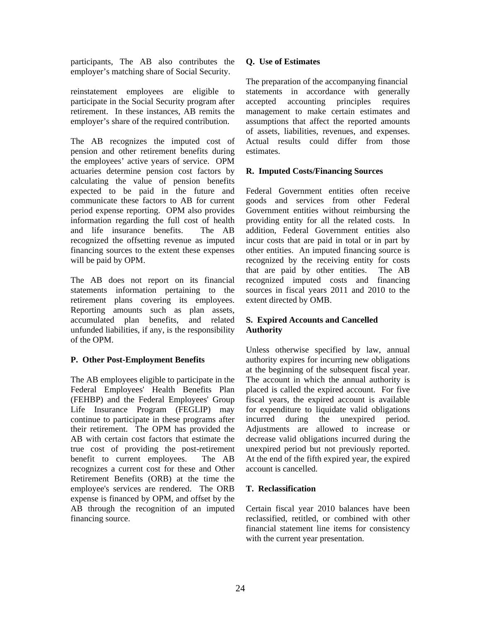participants, The AB also contributes the employer's matching share of Social Security.

reinstatement employees are eligible to participate in the Social Security program after retirement. In these instances, AB remits the employer's share of the required contribution.

The AB recognizes the imputed cost of pension and other retirement benefits during the employees' active years of service. OPM actuaries determine pension cost factors by calculating the value of pension benefits expected to be paid in the future and communicate these factors to AB for current period expense reporting. OPM also provides information regarding the full cost of health and life insurance benefits. The AB recognized the offsetting revenue as imputed financing sources to the extent these expenses will be paid by OPM.

The AB does not report on its financial statements information pertaining to the retirement plans covering its employees. Reporting amounts such as plan assets, accumulated plan benefits, and related unfunded liabilities, if any, is the responsibility of the OPM.

#### **P. Other Post-Employment Benefits**

 Life Insurance Program (FEGLIP) may The AB employees eligible to participate in the Federal Employees' Health Benefits Plan (FEHBP) and the Federal Employees' Group continue to participate in these programs after their retirement. The OPM has provided the AB with certain cost factors that estimate the true cost of providing the post-retirement benefit to current employees. The AB recognizes a current cost for these and Other Retirement Benefits (ORB) at the time the employee's services are rendered. The ORB expense is financed by OPM, and offset by the AB through the recognition of an imputed financing source.

#### **Q. Use of Estimates**

The preparation of the accompanying financial statements in accordance with generally accepted accounting principles requires management to make certain estimates and assumptions that affect the reported amounts of assets, liabilities, revenues, and expenses. Actual results could differ from those estimates.

#### **R. Imputed Costs/Financing Sources**

Federal Government entities often receive goods and services from other Federal Government entities without reimbursing the providing entity for all the related costs. In addition, Federal Government entities also incur costs that are paid in total or in part by other entities. An imputed financing source is recognized by the receiving entity for costs that are paid by other entities. The AB recognized imputed costs and financing sources in fiscal years 2011 and 2010 to the extent directed by OMB.

# **S. Expired Accounts and Cancelled Authority**

period. Unless otherwise specified by law, annual authority expires for incurring new obligations at the beginning of the subsequent fiscal year. The account in which the annual authority is placed is called the expired account. For five fiscal years, the expired account is available for expenditure to liquidate valid obligations incurred during the unexpired period. Adjustments are allowed to increase or decrease valid obligations incurred during the unexpired period but not previously reported. At the end of the fifth expired year, the expired account is cancelled.

#### **T. Reclassification**

Certain fiscal year 2010 balances have been reclassified, retitled, or combined with other financial statement line items for consistency with the current year presentation.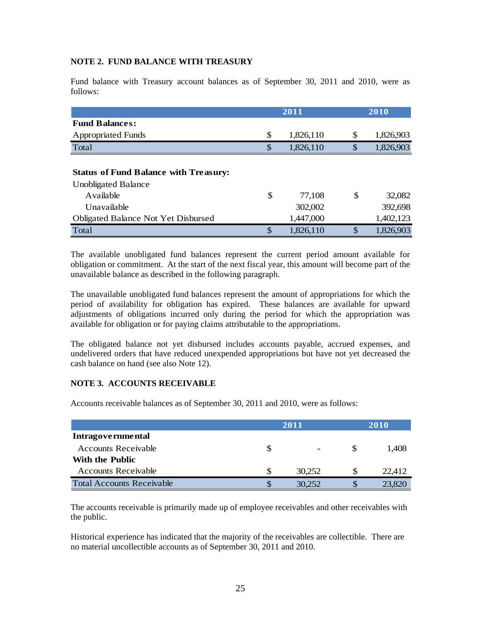#### **NOTE 2. FUND BALANCE WITH TREASURY**

Fund balance with Treasury account balances as of September 30, 2011 and 2010, were as follows:

|                                                                            | 2011            |    | 2010      |  |  |
|----------------------------------------------------------------------------|-----------------|----|-----------|--|--|
| <b>Fund Balances:</b>                                                      |                 |    |           |  |  |
| <b>Appropriated Funds</b>                                                  | \$<br>1,826,110 | \$ | 1,826,903 |  |  |
| Total                                                                      | \$<br>1,826,110 | \$ | 1,826,903 |  |  |
| <b>Status of Fund Balance with Treasury:</b><br><b>Unobligated Balance</b> |                 |    |           |  |  |
| Available                                                                  | \$<br>77,108    | S  | 32,082    |  |  |
| Unavailable                                                                | 302,002         |    | 392,698   |  |  |
| <b>Obligated Balance Not Yet Disbursed</b>                                 | 1,447,000       |    | 1,402,123 |  |  |
| Total                                                                      | \$<br>1,826,110 | \$ | 1,826,903 |  |  |

The available unobligated fund balances represent the current period amount available for obligation or commitment. At the start of the next fiscal year, this amount will become part of the unavailable balance as described in the following paragraph.

The unavailable unobligated fund balances represent the amount of appropriations for which the period of availability for obligation has expired. These balances are available for upward adjustments of obligations incurred only during the period for which the appropriation was available for obligation or for paying claims attributable to the appropriations.

The obligated balance not yet disbursed includes accounts payable, accrued expenses, and undelivered orders that have reduced unexpended appropriations but have not yet decreased the cash balance on hand (see also Note 12).

#### **NOTE 3. ACCOUNTS RECEIVABLE**

Accounts receivable balances as of September 30, 2011 and 2010, were as follows:

|                                  |   | 2011                     |   | <b>2010</b> |  |  |
|----------------------------------|---|--------------------------|---|-------------|--|--|
| Intragovernmental                |   |                          |   |             |  |  |
| <b>Accounts Receivable</b>       |   | $\overline{\phantom{a}}$ |   | 1.408       |  |  |
| With the Public                  |   |                          |   |             |  |  |
| <b>Accounts Receivable</b>       | S | 30,252                   | S | 22.412      |  |  |
| <b>Total Accounts Receivable</b> |   | 30.252                   |   | 23,820      |  |  |

The accounts receivable is primarily made up of employee receivables and other receivables with the public.

Historical experience has indicated that the majority of the receivables are collectible. There are no material uncollectible accounts as of September 30, 2011 and 2010.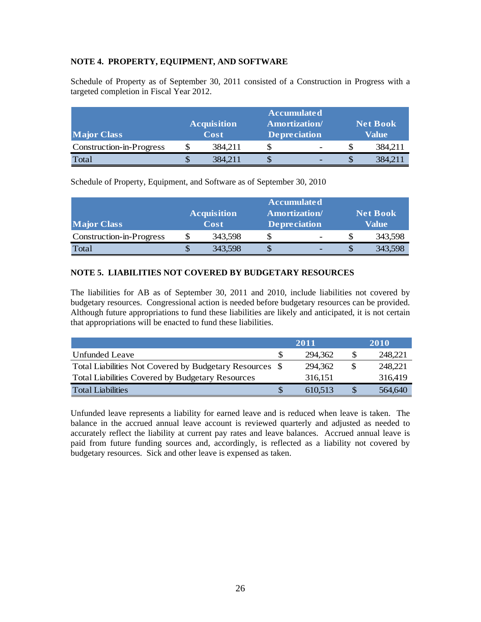#### **NOTE 4. PROPERTY, EQUIPMENT, AND SOFTWARE**

Schedule of Property as of September 30, 2011 consisted of a Construction in Progress with a targeted completion in Fiscal Year 2012.

| <b>Major Class</b>       | <b>Acquisition</b><br>Cost | <b>Accumulated</b><br><b>Amortization</b> /<br><b>Depreciation</b> |   | <b>Net Book</b><br>Value |         |  |
|--------------------------|----------------------------|--------------------------------------------------------------------|---|--------------------------|---------|--|
| Construction-in-Progress | 384,211                    |                                                                    | - |                          | 384,211 |  |
| Total                    | 384,211                    |                                                                    |   |                          | 384,211 |  |

Schedule of Property, Equipment, and Software as of September 30, 2010

| <b>Major Class</b>       | <b>Acquisition</b><br>Cost | <b>Accumulated</b><br><b>Amortization</b> /<br><b>Depreciation</b> |  | <b>Net Book</b><br>Value |         |  |
|--------------------------|----------------------------|--------------------------------------------------------------------|--|--------------------------|---------|--|
| Construction-in-Progress | 343,598                    |                                                                    |  |                          | 343,598 |  |
| Total                    | 343,598                    |                                                                    |  |                          | 343,598 |  |

# **NOTE 5. LIABILITIES NOT COVERED BY BUDGETARY RESOURCES**

The liabilities for AB as of September 30, 2011 and 2010, include liabilities not covered by budgetary resources. Congressional action is needed before budgetary resources can be provided. Although future appropriations to fund these liabilities are likely and anticipated, it is not certain that appropriations will be enacted to fund these liabilities.

|                                                         | 2011    |     | 2010    |
|---------------------------------------------------------|---------|-----|---------|
| Unfunded Leave                                          | 294,362 |     | 248,221 |
| Total Liabilities Not Covered by Budgetary Resources \$ | 294,362 | \$. | 248,221 |
| <b>Total Liabilities Covered by Budgetary Resources</b> | 316,151 |     | 316,419 |
| Total Liabilities                                       | 610,513 |     | 564,640 |

Unfunded leave represents a liability for earned leave and is reduced when leave is taken. The balance in the accrued annual leave account is reviewed quarterly and adjusted as needed to accurately reflect the liability at current pay rates and leave balances. Accrued annual leave is paid from future funding sources and, accordingly, is reflected as a liability not covered by budgetary resources. Sick and other leave is expensed as taken.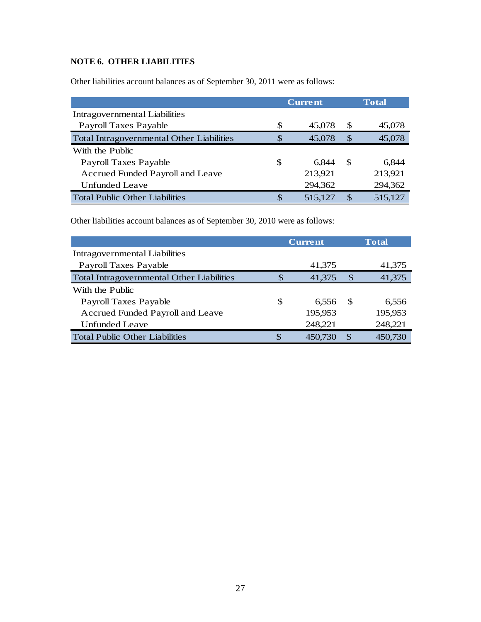# **NOTE 6. OTHER LIABILITIES**

Other liabilities account balances as of September 30, 2011 were as follows:

|                                                  | <b>Current</b> |         |              | <b>Total</b> |
|--------------------------------------------------|----------------|---------|--------------|--------------|
| Intragovernmental Liabilities                    |                |         |              |              |
| <b>Payroll Taxes Payable</b>                     | \$             | 45,078  | <b>S</b>     | 45,078       |
| <b>Total Intragovernmental Other Liabilities</b> | <sup>\$</sup>  | 45,078  | <b>S</b>     | 45,078       |
| With the Public                                  |                |         |              |              |
| Payroll Taxes Payable                            | S              | 6,844   | <sup>S</sup> | 6.844        |
| Accrued Funded Payroll and Leave                 |                | 213,921 |              | 213,921      |
| <b>Unfunded Leave</b>                            |                | 294,362 |              | 294,362      |
| <b>Total Public Other Liabilities</b>            | \$.            | 515,127 |              | 515,127      |

Other liabilities account balances as of September 30, 2010 were as follows:

|                                                  |     | <b>Current</b> | <b>Total</b>  |         |  |
|--------------------------------------------------|-----|----------------|---------------|---------|--|
| Intragovernmental Liabilities                    |     |                |               |         |  |
| Payroll Taxes Payable                            |     | 41,375         |               | 41,375  |  |
| <b>Total Intragovernmental Other Liabilities</b> | S   | 41,375         | <sup>\$</sup> | 41,375  |  |
| With the Public                                  |     |                |               |         |  |
| Payroll Taxes Payable                            | \$. | 6.556          | -SS           | 6,556   |  |
| Accrued Funded Payroll and Leave                 |     | 195,953        |               | 195,953 |  |
| Unfunded Leave                                   |     | 248,221        |               | 248,221 |  |
| <b>Total Public Other Liabilities</b>            |     | 450,730        |               | 450,730 |  |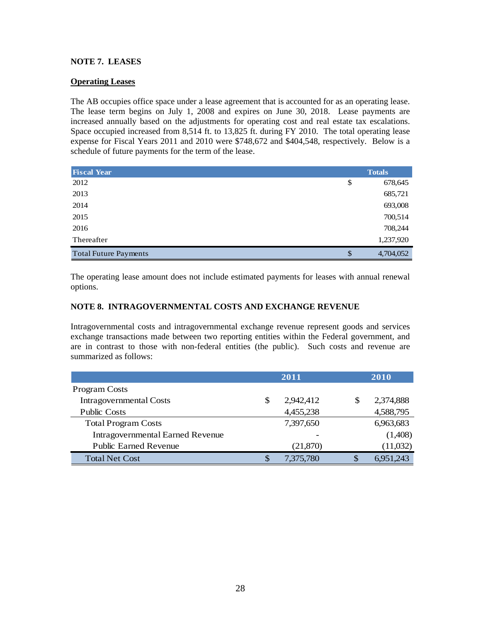#### **NOTE 7. LEASES**

#### **Operating Leases**

The AB occupies office space under a lease agreement that is accounted for as an operating lease. The lease term begins on July 1, 2008 and expires on June 30, 2018. Lease payments are increased annually based on the adjustments for operating cost and real estate tax escalations. Space occupied increased from 8,514 ft. to 13,825 ft. during FY 2010. The total operating lease expense for Fiscal Years 2011 and 2010 were \$748,672 and \$404,548, respectively. Below is a schedule of future payments for the term of the lease.

| <b>Fiscal Year</b>           | <b>Totals</b>   |  |  |
|------------------------------|-----------------|--|--|
| 2012                         | \$<br>678,645   |  |  |
| 2013                         | 685,721         |  |  |
| 2014                         | 693,008         |  |  |
| 2015                         | 700,514         |  |  |
| 2016                         | 708,244         |  |  |
| Thereafter                   | 1,237,920       |  |  |
| <b>Total Future Payments</b> | \$<br>4,704,052 |  |  |

The operating lease amount does not include estimated payments for leases with annual renewal options.

#### **NOTE 8. INTRAGOVERNMENTAL COSTS AND EXCHANGE REVENUE**

Intragovernmental costs and intragovernmental exchange revenue represent goods and services exchange transactions made between two reporting entities within the Federal government, and are in contrast to those with non-federal entities (the public). Such costs and revenue are summarized as follows:

|                                         | 2011 |           |    | 2010      |  |
|-----------------------------------------|------|-----------|----|-----------|--|
| <b>Program Costs</b>                    |      |           |    |           |  |
| <b>Intragovernmental Costs</b>          | \$   | 2,942,412 | S  | 2,374,888 |  |
| <b>Public Costs</b>                     |      | 4,455,238 |    | 4,588,795 |  |
| <b>Total Program Costs</b>              |      | 7,397,650 |    | 6,963,683 |  |
| <b>Intragovernmental Earned Revenue</b> |      |           |    | (1,408)   |  |
| <b>Public Earned Revenue</b>            |      | (21, 870) |    | (11,032)  |  |
| <b>Total Net Cost</b>                   | S    | 7,375,780 | \$ | 6,951,243 |  |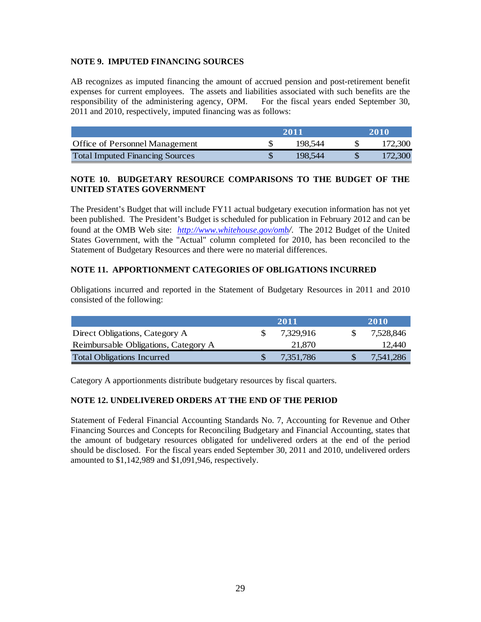#### **NOTE 9. IMPUTED FINANCING SOURCES**

AB recognizes as imputed financing the amount of accrued pension and post-retirement benefit expenses for current employees. The assets and liabilities associated with such benefits are the responsibility of the administering agency, OPM. For the fiscal years ended September 30, 2011 and 2010, respectively, imputed financing was as follows:

|                                        | 2011 |         | 2010    |  |
|----------------------------------------|------|---------|---------|--|
| <b>Office of Personnel Management</b>  |      | 198.544 | 172.300 |  |
| <b>Total Imputed Financing Sources</b> |      | 198.544 | 172.300 |  |

#### **NOTE 10. BUDGETARY RESOURCE COMPARISONS TO THE BUDGET OF THE UNITED STATES GOVERNMENT**

The President's Budget that will include FY11 actual budgetary execution information has not yet been published. The President's Budget is scheduled for publication in February 2012 and can be found at the OMB Web site: *http://www.whitehouse.gov/omb/*. The 2012 Budget of the United States Government, with the "Actual" column completed for 2010, has been reconciled to the Statement of Budgetary Resources and there were no material differences.

#### **NOTE 11. APPORTIONMENT CATEGORIES OF OBLIGATIONS INCURRED**

Obligations incurred and reported in the Statement of Budgetary Resources in 2011 and 2010 consisted of the following:

|                                      | 2011 |           |   | <b>2010</b> |
|--------------------------------------|------|-----------|---|-------------|
| Direct Obligations, Category A       |      | 7.329.916 |   | 7.528.846   |
| Reimbursable Obligations, Category A |      | 21,870    |   | 12.440      |
| <b>Total Obligations Incurred</b>    |      | 7.351.786 | S | 7.541.286   |

Category A apportionments distribute budgetary resources by fiscal quarters.

#### **NOTE 12. UNDELIVERED ORDERS AT THE END OF THE PERIOD**

Statement of Federal Financial Accounting Standards No. 7, Accounting for Revenue and Other Financing Sources and Concepts for Reconciling Budgetary and Financial Accounting, states that the amount of budgetary resources obligated for undelivered orders at the end of the period should be disclosed. For the fiscal years ended September 30, 2011 and 2010, undelivered orders amounted to \$1,142,989 and \$1,091,946, respectively.